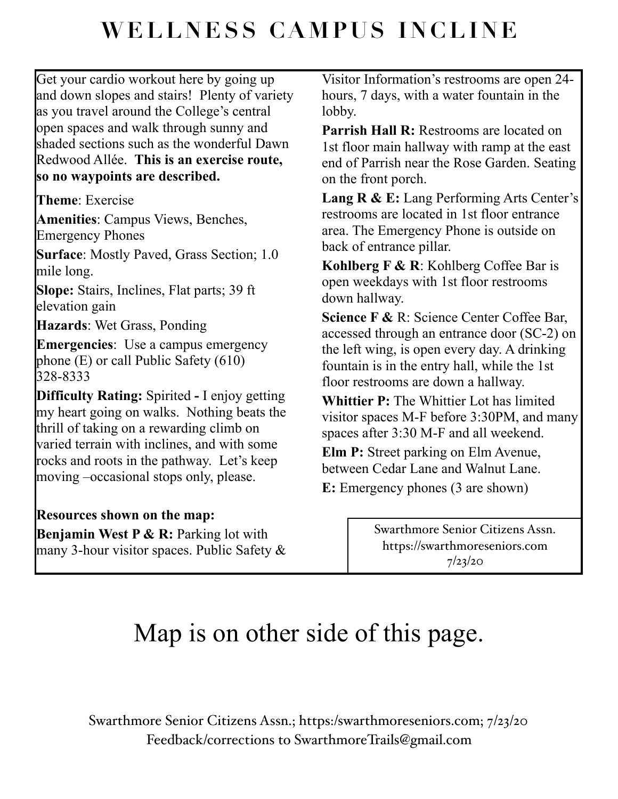## **WELLNESS CAMPUS INCLINE**

Get your cardio workout here by going up and down slopes and stairs! Plenty of variety as you travel around the College's central open spaces and walk through sunny and shaded sections such as the wonderful Dawn Redwood Allée. **This is an exercise route, so no waypoints are described.**

**Theme**: Exercise

**Amenities**: Campus Views, Benches, Emergency Phones

**Surface:** Mostly Paved, Grass Section; 1.0 mile long.

**Slope:** Stairs, Inclines, Flat parts; 39 ft elevation gain

**Hazards**: Wet Grass, Ponding

**Emergencies**: Use a campus emergency phone (E) or call Public Safety (610) 328-8333

**Difficulty Rating:** Spirited **-** I enjoy getting my heart going on walks. Nothing beats the thrill of taking on a rewarding climb on varied terrain with inclines, and with some rocks and roots in the pathway. Let's keep moving –occasional stops only, please.

## **Resources shown on the map:**

**Benjamin West P & R:** Parking lot with many 3-hour visitor spaces. Public Safety & Visitor Information's restrooms are open 24 hours, 7 days, with a water fountain in the lobby.

**Parrish Hall R:** Restrooms are located on 1st floor main hallway with ramp at the east end of Parrish near the Rose Garden. Seating on the front porch.

Lang R & E: Lang Performing Arts Center's restrooms are located in 1st floor entrance area. The Emergency Phone is outside on back of entrance pillar.

**Kohlberg F & R**: Kohlberg Coffee Bar is open weekdays with 1st floor restrooms down hallway.

**Science F &** R: Science Center Coffee Bar, accessed through an entrance door (SC-2) on the left wing, is open every day. A drinking fountain is in the entry hall, while the 1st floor restrooms are down a hallway.

**Whittier P:** The Whittier Lot has limited visitor spaces M-F before 3:30PM, and many spaces after 3:30 M-F and all weekend.

**Elm P:** Street parking on Elm Avenue, between Cedar Lane and Walnut Lane.

**E:** Emergency phones (3 are shown)

Swarthmore Senior Citizens Assn. https://swarthmoreseniors.com 7/23/20

## Map is on other side of this page.

Swarthmore Senior Citizens Assn.; https:/[swarthmoreseniors.com;](http://swarthmoreseniors.com) 7/23/20 Feedback/corrections to [SwarthmoreTrails@gmail.com](mailto:SwarthmoreTrails@gmail.com)